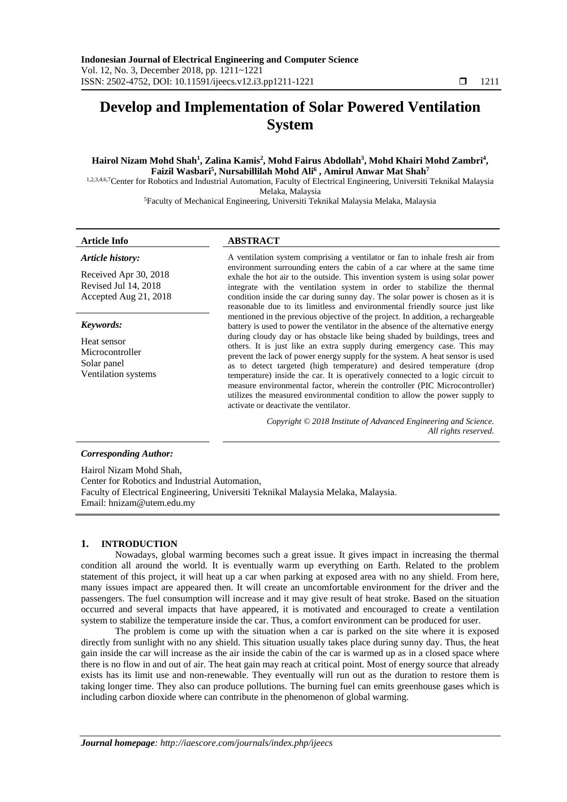# **Develop and Implementation of Solar Powered Ventilation System**

# $\bm{\mathrm{H}}$ airol Nizam Mohd Shah<sup>1</sup>, Zalina Kamis<sup>2</sup>, Mohd Fairus Abdollah<sup>3</sup>, Mohd Khairi Mohd Zambri<sup>4</sup>, **Faizil Wasbari<sup>5</sup> , Nursabillilah Mohd Ali<sup>6</sup> , Amirul Anwar Mat Shah<sup>7</sup>**

1,2,3,4,6,7Center for Robotics and Industrial Automation, Faculty of Electrical Engineering, Universiti Teknikal Malaysia Melaka, Malaysia

<sup>5</sup>Faculty of Mechanical Engineering, Universiti Teknikal Malaysia Melaka, Malaysia

### **Article Info ABSTRACT**

*Article history:*

Received Apr 30, 2018 Revised Jul 14, 2018 Accepted Aug 21, 2018

#### *Keywords:*

Heat sensor Microcontroller Solar panel Ventilation systems

A ventilation system comprising a ventilator or fan to inhale fresh air from environment surrounding enters the cabin of a car where at the same time exhale the hot air to the outside. This invention system is using solar power integrate with the ventilation system in order to stabilize the thermal condition inside the car during sunny day. The solar power is chosen as it is reasonable due to its limitless and environmental friendly source just like mentioned in the previous objective of the project. In addition, a rechargeable battery is used to power the ventilator in the absence of the alternative energy during cloudy day or has obstacle like being shaded by buildings, trees and others. It is just like an extra supply during emergency case. This may prevent the lack of power energy supply for the system. A heat sensor is used as to detect targeted (high temperature) and desired temperature (drop temperature) inside the car. It is operatively connected to a logic circuit to measure environmental factor, wherein the controller (PIC Microcontroller) utilizes the measured environmental condition to allow the power supply to activate or deactivate the ventilator.

> *Copyright © 2018 Institute of Advanced Engineering and Science. All rights reserved.*

### *Corresponding Author:*

Hairol Nizam Mohd Shah, Center for Robotics and Industrial Automation, Faculty of Electrical Engineering, Universiti Teknikal Malaysia Melaka, Malaysia. Email: [hnizam@utem.edu.my](mailto:hnizam@utem.edu.my)

# **1. INTRODUCTION**

Nowadays, global warming becomes such a great issue. It gives impact in increasing the thermal condition all around the world. It is eventually warm up everything on Earth. Related to the problem statement of this project, it will heat up a car when parking at exposed area with no any shield. From here, many issues impact are appeared then. It will create an uncomfortable environment for the driver and the passengers. The fuel consumption will increase and it may give result of heat stroke. Based on the situation occurred and several impacts that have appeared, it is motivated and encouraged to create a ventilation system to stabilize the temperature inside the car. Thus, a comfort environment can be produced for user.

The problem is come up with the situation when a car is parked on the site where it is exposed directly from sunlight with no any shield. This situation usually takes place during sunny day. Thus, the heat gain inside the car will increase as the air inside the cabin of the car is warmed up as in a closed space where there is no flow in and out of air. The heat gain may reach at critical point. Most of energy source that already exists has its limit use and non-renewable. They eventually will run out as the duration to restore them is taking longer time. They also can produce pollutions. The burning fuel can emits greenhouse gases which is including carbon dioxide where can contribute in the phenomenon of global warming.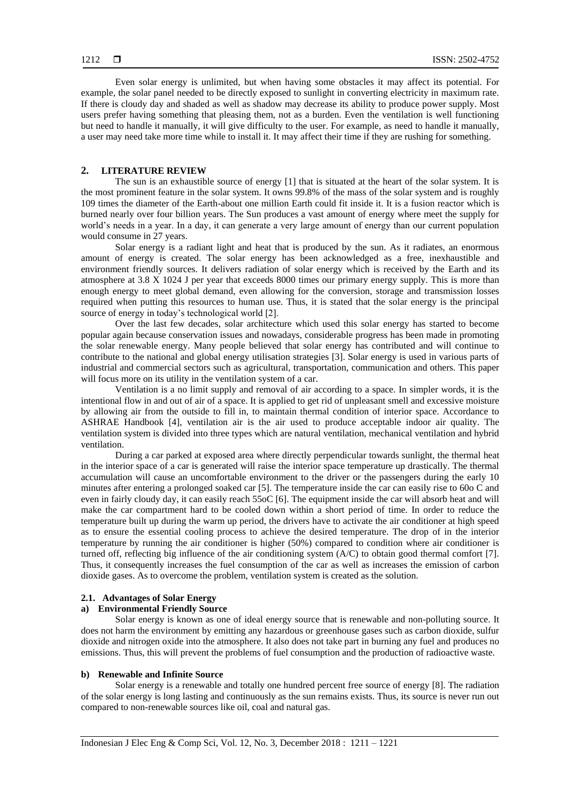Even solar energy is unlimited, but when having some obstacles it may affect its potential. For example, the solar panel needed to be directly exposed to sunlight in converting electricity in maximum rate. If there is cloudy day and shaded as well as shadow may decrease its ability to produce power supply. Most users prefer having something that pleasing them, not as a burden. Even the ventilation is well functioning but need to handle it manually, it will give difficulty to the user. For example, as need to handle it manually, a user may need take more time while to install it. It may affect their time if they are rushing for something.

#### **2. LITERATURE REVIEW**

The sun is an exhaustible source of energy [1] that is situated at the heart of the solar system. It is the most prominent feature in the solar system. It owns 99.8% of the mass of the solar system and is roughly 109 times the diameter of the Earth-about one million Earth could fit inside it. It is a fusion reactor which is burned nearly over four billion years. The Sun produces a vast amount of energy where meet the supply for world's needs in a year. In a day, it can generate a very large amount of energy than our current population would consume in 27 years.

Solar energy is a radiant light and heat that is produced by the sun. As it radiates, an enormous amount of energy is created. The solar energy has been acknowledged as a free, inexhaustible and environment friendly sources. It delivers radiation of solar energy which is received by the Earth and its atmosphere at 3.8 X 1024 J per year that exceeds 8000 times our primary energy supply. This is more than enough energy to meet global demand, even allowing for the conversion, storage and transmission losses required when putting this resources to human use. Thus, it is stated that the solar energy is the principal source of energy in today's technological world [2].

Over the last few decades, solar architecture which used this solar energy has started to become popular again because conservation issues and nowadays, considerable progress has been made in promoting the solar renewable energy. Many people believed that solar energy has contributed and will continue to contribute to the national and global energy utilisation strategies [3]. Solar energy is used in various parts of industrial and commercial sectors such as agricultural, transportation, communication and others. This paper will focus more on its utility in the ventilation system of a car.

Ventilation is a no limit supply and removal of air according to a space. In simpler words, it is the intentional flow in and out of air of a space. It is applied to get rid of unpleasant smell and excessive moisture by allowing air from the outside to fill in, to maintain thermal condition of interior space. Accordance to ASHRAE Handbook [4], ventilation air is the air used to produce acceptable indoor air quality. The ventilation system is divided into three types which are natural ventilation, mechanical ventilation and hybrid ventilation.

During a car parked at exposed area where directly perpendicular towards sunlight, the thermal heat in the interior space of a car is generated will raise the interior space temperature up drastically. The thermal accumulation will cause an uncomfortable environment to the driver or the passengers during the early 10 minutes after entering a prolonged soaked car [5]. The temperature inside the car can easily rise to 60o C and even in fairly cloudy day, it can easily reach 55oC [6]. The equipment inside the car will absorb heat and will make the car compartment hard to be cooled down within a short period of time. In order to reduce the temperature built up during the warm up period, the drivers have to activate the air conditioner at high speed as to ensure the essential cooling process to achieve the desired temperature. The drop of in the interior temperature by running the air conditioner is higher (50%) compared to condition where air conditioner is turned off, reflecting big influence of the air conditioning system (A/C) to obtain good thermal comfort [7]. Thus, it consequently increases the fuel consumption of the car as well as increases the emission of carbon dioxide gases. As to overcome the problem, ventilation system is created as the solution.

# **2.1. Advantages of Solar Energy**

# **a) Environmental Friendly Source**

Solar energy is known as one of ideal energy source that is renewable and non-polluting source. It does not harm the environment by emitting any hazardous or greenhouse gases such as carbon dioxide, sulfur dioxide and nitrogen oxide into the atmosphere. It also does not take part in burning any fuel and produces no emissions. Thus, this will prevent the problems of fuel consumption and the production of radioactive waste.

# **b) Renewable and Infinite Source**

Solar energy is a renewable and totally one hundred percent free source of energy [8]. The radiation of the solar energy is long lasting and continuously as the sun remains exists. Thus, its source is never run out compared to non-renewable sources like oil, coal and natural gas.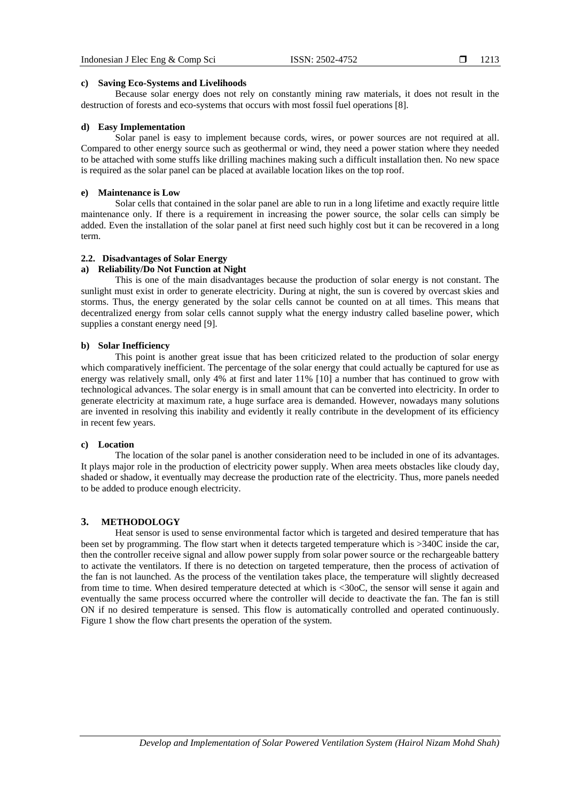1213

#### **c) Saving Eco-Systems and Livelihoods**

Because solar energy does not rely on constantly mining raw materials, it does not result in the destruction of forests and eco-systems that occurs with most fossil fuel operations [8].

#### **d) Easy Implementation**

Solar panel is easy to implement because cords, wires, or power sources are not required at all. Compared to other energy source such as geothermal or wind, they need a power station where they needed to be attached with some stuffs like drilling machines making such a difficult installation then. No new space is required as the solar panel can be placed at available location likes on the top roof.

# **e) Maintenance is Low**

Solar cells that contained in the solar panel are able to run in a long lifetime and exactly require little maintenance only. If there is a requirement in increasing the power source, the solar cells can simply be added. Even the installation of the solar panel at first need such highly cost but it can be recovered in a long term.

# **2.2. Disadvantages of Solar Energy**

# **a) Reliability/Do Not Function at Night**

This is one of the main disadvantages because the production of solar energy is not constant. The sunlight must exist in order to generate electricity. During at night, the sun is covered by overcast skies and storms. Thus, the energy generated by the solar cells cannot be counted on at all times. This means that decentralized energy from solar cells cannot supply what the energy industry called baseline power, which supplies a constant energy need [9].

#### **b) Solar Inefficiency**

This point is another great issue that has been criticized related to the production of solar energy which comparatively inefficient. The percentage of the solar energy that could actually be captured for use as energy was relatively small, only 4% at first and later 11% [10] a number that has continued to grow with technological advances. The solar energy is in small amount that can be converted into electricity. In order to generate electricity at maximum rate, a huge surface area is demanded. However, nowadays many solutions are invented in resolving this inability and evidently it really contribute in the development of its efficiency in recent few years.

## **c) Location**

The location of the solar panel is another consideration need to be included in one of its advantages. It plays major role in the production of electricity power supply. When area meets obstacles like cloudy day, shaded or shadow, it eventually may decrease the production rate of the electricity. Thus, more panels needed to be added to produce enough electricity.

# **3. METHODOLOGY**

Heat sensor is used to sense environmental factor which is targeted and desired temperature that has been set by programming. The flow start when it detects targeted temperature which is >340C inside the car, then the controller receive signal and allow power supply from solar power source or the rechargeable battery to activate the ventilators. If there is no detection on targeted temperature, then the process of activation of the fan is not launched. As the process of the ventilation takes place, the temperature will slightly decreased from time to time. When desired temperature detected at which is <30oC, the sensor will sense it again and eventually the same process occurred where the controller will decide to deactivate the fan. The fan is still ON if no desired temperature is sensed. This flow is automatically controlled and operated continuously. Figure 1 show the flow chart presents the operation of the system.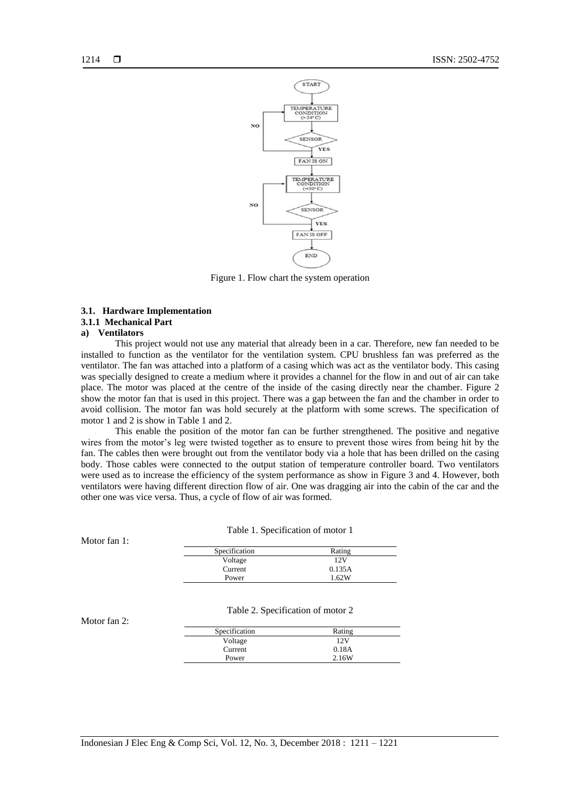

Figure 1. Flow chart the system operation

#### **3.1. Hardware Implementation**

# **3.1.1 Mechanical Part**

#### **a) Ventilators**

This project would not use any material that already been in a car. Therefore, new fan needed to be installed to function as the ventilator for the ventilation system. CPU brushless fan was preferred as the ventilator. The fan was attached into a platform of a casing which was act as the ventilator body. This casing was specially designed to create a medium where it provides a channel for the flow in and out of air can take place. The motor was placed at the centre of the inside of the casing directly near the chamber. Figure 2 show the motor fan that is used in this project. There was a gap between the fan and the chamber in order to avoid collision. The motor fan was hold securely at the platform with some screws. The specification of motor 1 and 2 is show in Table 1 and 2.

This enable the position of the motor fan can be further strengthened. The positive and negative wires from the motor's leg were twisted together as to ensure to prevent those wires from being hit by the fan. The cables then were brought out from the ventilator body via a hole that has been drilled on the casing body. Those cables were connected to the output station of temperature controller board. Two ventilators were used as to increase the efficiency of the system performance as show in Figure 3 and 4. However, both ventilators were having different direction flow of air. One was dragging air into the cabin of the car and the other one was vice versa. Thus, a cycle of flow of air was formed.

Table 1. Specification of motor 1

Motor fan 1:

| Specification | Rating |
|---------------|--------|
| Voltage       | 12V    |
| Current       | 0.135A |
| Power         | 1.62W  |

#### Table 2. Specification of motor 2

Motor fan 2:

| Specification | Rating |  |
|---------------|--------|--|
| Voltage       | 12V    |  |
| Current       | 0.18A  |  |
| Power         | 2.16W  |  |
|               |        |  |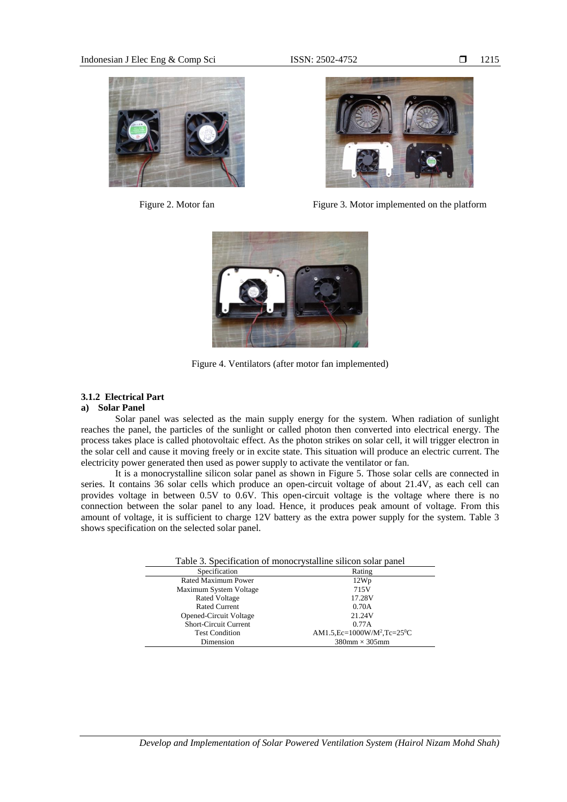



Figure 2. Motor fan Figure 3. Motor implemented on the platform



Figure 4. Ventilators (after motor fan implemented)

# **3.1.2 Electrical Part**

# **a) Solar Panel**

Solar panel was selected as the main supply energy for the system. When radiation of sunlight reaches the panel, the particles of the sunlight or called photon then converted into electrical energy. The process takes place is called photovoltaic effect. As the photon strikes on solar cell, it will trigger electron in the solar cell and cause it moving freely or in excite state. This situation will produce an electric current. The electricity power generated then used as power supply to activate the ventilator or fan.

It is a monocrystalline silicon solar panel as shown in Figure 5. Those solar cells are connected in series. It contains 36 solar cells which produce an open-circuit voltage of about 21.4V, as each cell can provides voltage in between 0.5V to 0.6V. This open-circuit voltage is the voltage where there is no connection between the solar panel to any load. Hence, it produces peak amount of voltage. From this amount of voltage, it is sufficient to charge 12V battery as the extra power supply for the system. Table 3 shows specification on the selected solar panel.

| Table 3. Specification of monocrystalline silicon solar panel |                                                       |  |  |  |
|---------------------------------------------------------------|-------------------------------------------------------|--|--|--|
| Specification                                                 | Rating                                                |  |  |  |
| Rated Maximum Power                                           | 12Wp                                                  |  |  |  |
| Maximum System Voltage                                        | 715V                                                  |  |  |  |
| <b>Rated Voltage</b>                                          | 17.28V                                                |  |  |  |
| Rated Current                                                 | 0.70A                                                 |  |  |  |
| <b>Opened-Circuit Voltage</b>                                 | 21.24V                                                |  |  |  |
| <b>Short-Circuit Current</b>                                  | 0.77A                                                 |  |  |  |
| <b>Test Condition</b>                                         | AM1.5, Ec=1000W/M <sup>2</sup> , Tc=25 <sup>0</sup> C |  |  |  |
| Dimension                                                     | $380$ mm $\times$ 305mm                               |  |  |  |

# 1215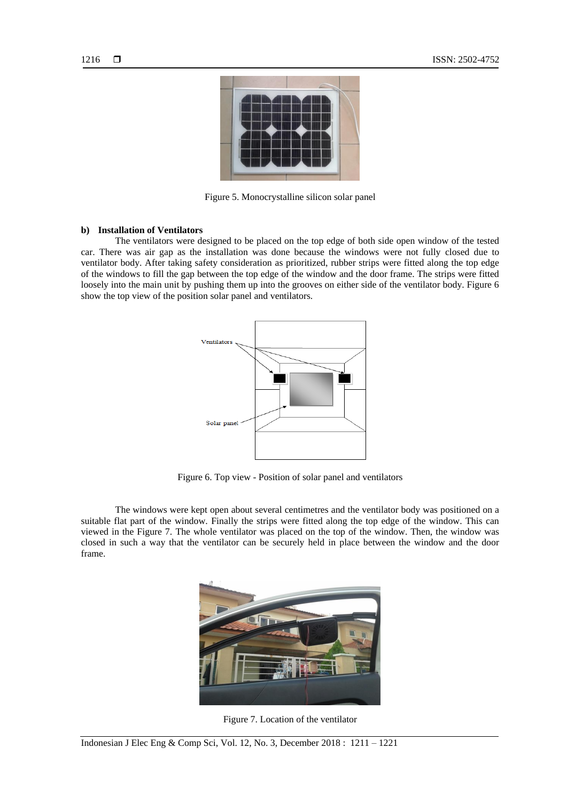

Figure 5. Monocrystalline silicon solar panel

# **b) Installation of Ventilators**

The ventilators were designed to be placed on the top edge of both side open window of the tested car. There was air gap as the installation was done because the windows were not fully closed due to ventilator body. After taking safety consideration as prioritized, rubber strips were fitted along the top edge of the windows to fill the gap between the top edge of the window and the door frame. The strips were fitted loosely into the main unit by pushing them up into the grooves on either side of the ventilator body. Figure 6 show the top view of the position solar panel and ventilators.



Figure 6. Top view - Position of solar panel and ventilators

The windows were kept open about several centimetres and the ventilator body was positioned on a suitable flat part of the window. Finally the strips were fitted along the top edge of the window. This can viewed in the Figure 7. The whole ventilator was placed on the top of the window. Then, the window was closed in such a way that the ventilator can be securely held in place between the window and the door frame.



Figure 7. Location of the ventilator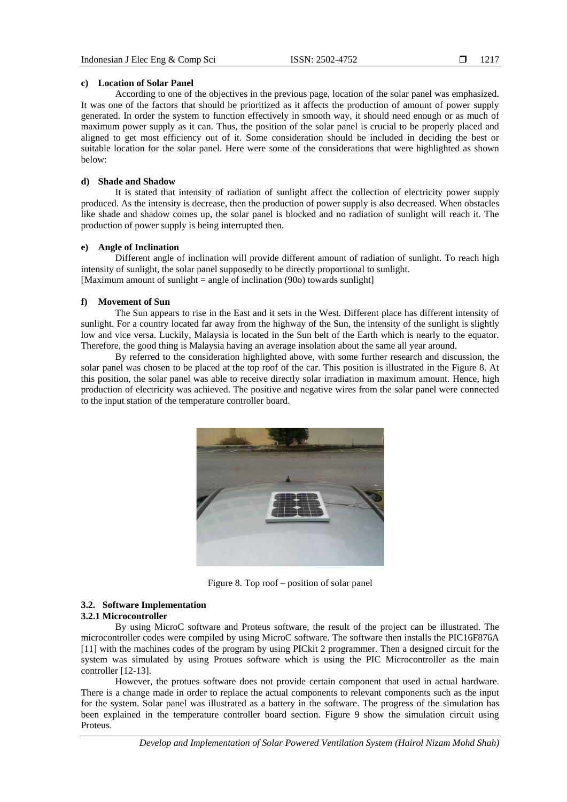# **c) Location of Solar Panel**

According to one of the objectives in the previous page, location of the solar panel was emphasized. It was one of the factors that should be prioritized as it affects the production of amount of power supply generated. In order the system to function effectively in smooth way, it should need enough or as much of maximum power supply as it can. Thus, the position of the solar panel is crucial to be properly placed and aligned to get most efficiency out of it. Some consideration should be included in deciding the best or suitable location for the solar panel. Here were some of the considerations that were highlighted as shown below:

# **d) Shade and Shadow**

It is stated that intensity of radiation of sunlight affect the collection of electricity power supply produced. As the intensity is decrease, then the production of power supply is also decreased. When obstacles like shade and shadow comes up, the solar panel is blocked and no radiation of sunlight will reach it. The production of power supply is being interrupted then.

# **e) Angle of Inclination**

Different angle of inclination will provide different amount of radiation of sunlight. To reach high intensity of sunlight, the solar panel supposedly to be directly proportional to sunlight. [Maximum amount of sunlight = angle of inclination  $(90o)$  towards sunlight]

#### **f) Movement of Sun**

The Sun appears to rise in the East and it sets in the West. Different place has different intensity of sunlight. For a country located far away from the highway of the Sun, the intensity of the sunlight is slightly low and vice versa. Luckily, Malaysia is located in the Sun belt of the Earth which is nearly to the equator. Therefore, the good thing is Malaysia having an average insolation about the same all year around.

By referred to the consideration highlighted above, with some further research and discussion, the solar panel was chosen to be placed at the top roof of the car. This position is illustrated in the Figure 8. At this position, the solar panel was able to receive directly solar irradiation in maximum amount. Hence, high production of electricity was achieved. The positive and negative wires from the solar panel were connected to the input station of the temperature controller board.



Figure 8. Top roof – position of solar panel

#### **3.2. Software Implementation 3.2.1 Microcontroller**

By using MicroC software and Proteus software, the result of the project can be illustrated. The microcontroller codes were compiled by using MicroC software. The software then installs the PIC16F876A [11] with the machines codes of the program by using PICkit 2 programmer. Then a designed circuit for the system was simulated by using Protues software which is using the PIC Microcontroller as the main controller [12-13].

However, the protues software does not provide certain component that used in actual hardware. There is a change made in order to replace the actual components to relevant components such as the input for the system. Solar panel was illustrated as a battery in the software. The progress of the simulation has been explained in the temperature controller board section. Figure 9 show the simulation circuit using Proteus.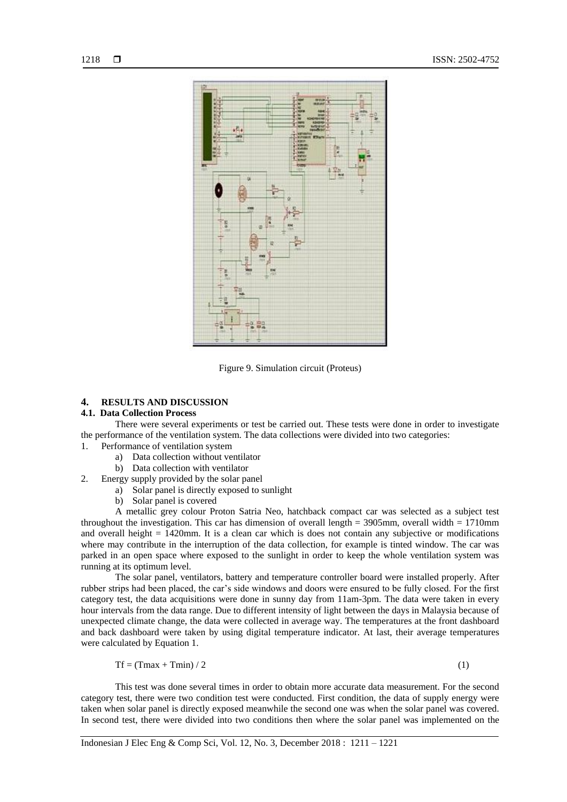

Figure 9. Simulation circuit (Proteus)

# **4. RESULTS AND DISCUSSION**

# **4.1. Data Collection Process**

There were several experiments or test be carried out. These tests were done in order to investigate the performance of the ventilation system. The data collections were divided into two categories:

- 1. Performance of ventilation system
	- a) Data collection without ventilator
	- b) Data collection with ventilator
- 2. Energy supply provided by the solar panel
	- a) Solar panel is directly exposed to sunlight
	- b) Solar panel is covered

A metallic grey colour Proton Satria Neo, hatchback compact car was selected as a subject test throughout the investigation. This car has dimension of overall length  $= 3905$ mm, overall width  $= 1710$ mm and overall height  $= 1420$ mm. It is a clean car which is does not contain any subjective or modifications where may contribute in the interruption of the data collection, for example is tinted window. The car was parked in an open space where exposed to the sunlight in order to keep the whole ventilation system was running at its optimum level.

The solar panel, ventilators, battery and temperature controller board were installed properly. After rubber strips had been placed, the car's side windows and doors were ensured to be fully closed. For the first category test, the data acquisitions were done in sunny day from 11am-3pm. The data were taken in every hour intervals from the data range. Due to different intensity of light between the days in Malaysia because of unexpected climate change, the data were collected in average way. The temperatures at the front dashboard and back dashboard were taken by using digital temperature indicator. At last, their average temperatures were calculated by Equation 1.

$$
Tf = (Tmax + Tmin) / 2 \tag{1}
$$

This test was done several times in order to obtain more accurate data measurement. For the second category test, there were two condition test were conducted. First condition, the data of supply energy were taken when solar panel is directly exposed meanwhile the second one was when the solar panel was covered. In second test, there were divided into two conditions then where the solar panel was implemented on the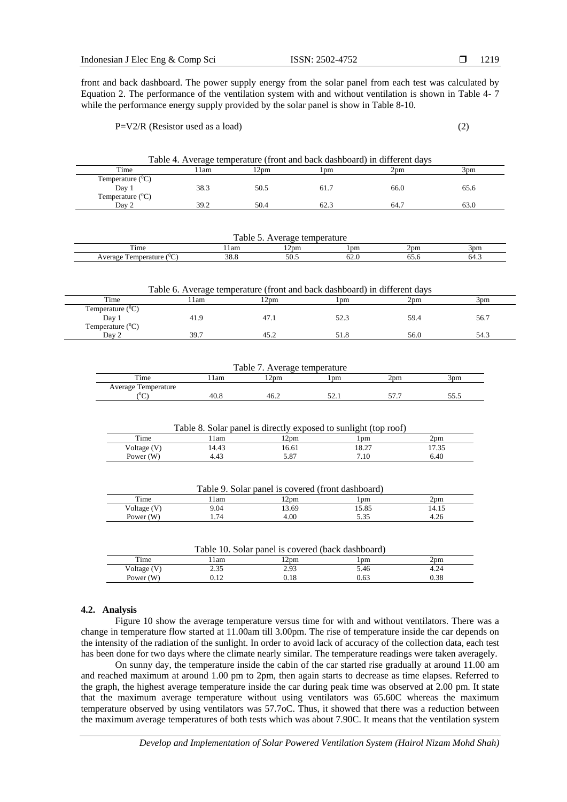front and back dashboard. The power supply energy from the solar panel from each test was calculated by Equation 2. The performance of the ventilation system with and without ventilation is shown in Table 4- 7 while the performance energy supply provided by the solar panel is show in Table 8-10.

#### $P=V2/R$  (Resistor used as a load) (2)

| Table 4. Average temperature (front and back dashboard) in different days |       |                |      |      |      |
|---------------------------------------------------------------------------|-------|----------------|------|------|------|
| Time                                                                      | l 1am | $12 \text{nm}$ | l pm | 2pm  | 3pm  |
| Temperature $(^0C)$                                                       |       |                |      |      |      |
| Day 1                                                                     | 38.3  | 50.5           | 61.7 | 66.0 | 65.6 |
| Temperature $(^0C)$                                                       |       |                |      |      |      |
| Day 2                                                                     | 39.2  | 50.4           |      | 64.7 | 63.0 |

| able<br>30000tumo<br>∩٣<br>'auurt   |        |                            |                 |       |      |
|-------------------------------------|--------|----------------------------|-----------------|-------|------|
| Time                                | . I am | $\sim$<br>12 <sub>pm</sub> | 1 <sub>pm</sub> | 2pm   | 3pm  |
| $\sim$<br>emperature<br>verage<br>◡ | 38.8   | 50.5                       | 62.U            | v., u | 64.3 |

| Table 6. Average temperature (front and back dashboard) in different days |       |       |      |      |      |
|---------------------------------------------------------------------------|-------|-------|------|------|------|
| Time                                                                      | l 1am | l 2pm | 1 pm | 2pm  | 3pm  |
| Temperature $(^0C)$                                                       |       |       |      |      |      |
| Day 1                                                                     | 41.9  | 47.1  | 52.3 | 59.4 | 56.7 |
| Temperature $(^0C)$                                                       |       |       |      |      |      |
| Day 2                                                                     | 39.7  | 45.2  | 51.8 | 56.0 | 54.3 |

| Table 7. Average temperature |      |      |        |     |     |
|------------------------------|------|------|--------|-----|-----|
| Time                         | 1 am | 2pm  | ! pm   | 2pm | 5pm |
| Average Temperature          |      |      |        |     |     |
| $\sim$<br>◡                  | 40.8 | 46.2 | ہ دے پ | . . |     |

| Table 8. Solar panel is directly exposed to sunlight (top roof) |       |       |       |       |  |
|-----------------------------------------------------------------|-------|-------|-------|-------|--|
| Time                                                            | lam   | 12pm  | .pm   | 2pm   |  |
| Voltage (V)                                                     | 14.43 | 16.61 | 18.27 | 17.35 |  |
| Power $(W)$                                                     | 4.43  | 5.87  | 7.10  | 6.40  |  |

| Table 9. Solar panel is covered (front dashboard) |      |       |       |       |  |
|---------------------------------------------------|------|-------|-------|-------|--|
| Time                                              | 1am  | 2pm   | l pm  | 2pm   |  |
| Voltage (V)                                       | 9.04 | 13.69 | 15.85 | 14.15 |  |
| Power $(W)$                                       | . 74 | 4.00  | 5.35  | 4.26  |  |

| Table 10. Solar panel is covered (back dashboard) |      |      |      |      |  |
|---------------------------------------------------|------|------|------|------|--|
| Time                                              | 1am  | 2pm  | 1pm  | 2pm  |  |
| Voltage (V)                                       | 2.35 | 2.93 | 5.46 | 4.24 |  |
| Power $(W)$                                       | 0.12 | 0.18 | 0.63 | 0.38 |  |

### **4.2. Analysis**

Figure 10 show the average temperature versus time for with and without ventilators. There was a change in temperature flow started at 11.00am till 3.00pm. The rise of temperature inside the car depends on the intensity of the radiation of the sunlight. In order to avoid lack of accuracy of the collection data, each test has been done for two days where the climate nearly similar. The temperature readings were taken averagely.

On sunny day, the temperature inside the cabin of the car started rise gradually at around 11.00 am and reached maximum at around 1.00 pm to 2pm, then again starts to decrease as time elapses. Referred to the graph, the highest average temperature inside the car during peak time was observed at 2.00 pm. It state that the maximum average temperature without using ventilators was 65.60C whereas the maximum temperature observed by using ventilators was 57.7oC. Thus, it showed that there was a reduction between the maximum average temperatures of both tests which was about 7.90C. It means that the ventilation system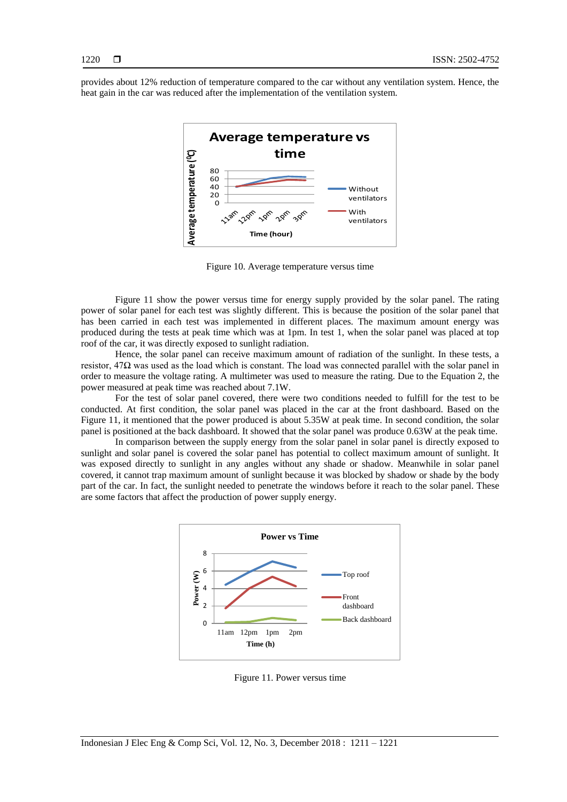provides about 12% reduction of temperature compared to the car without any ventilation system. Hence, the heat gain in the car was reduced after the implementation of the ventilation system.



Figure 10. Average temperature versus time

Figure 11 show the power versus time for energy supply provided by the solar panel. The rating power of solar panel for each test was slightly different. This is because the position of the solar panel that has been carried in each test was implemented in different places. The maximum amount energy was produced during the tests at peak time which was at 1pm. In test 1, when the solar panel was placed at top roof of the car, it was directly exposed to sunlight radiation.

Hence, the solar panel can receive maximum amount of radiation of the sunlight. In these tests, a resistor, 47Ω was used as the load which is constant. The load was connected parallel with the solar panel in order to measure the voltage rating. A multimeter was used to measure the rating. Due to the Equation 2, the power measured at peak time was reached about 7.1W.

For the test of solar panel covered, there were two conditions needed to fulfill for the test to be conducted. At first condition, the solar panel was placed in the car at the front dashboard. Based on the Figure 11, it mentioned that the power produced is about 5.35W at peak time. In second condition, the solar panel is positioned at the back dashboard. It showed that the solar panel was produce 0.63W at the peak time.

In comparison between the supply energy from the solar panel in solar panel is directly exposed to sunlight and solar panel is covered the solar panel has potential to collect maximum amount of sunlight. It was exposed directly to sunlight in any angles without any shade or shadow. Meanwhile in solar panel covered, it cannot trap maximum amount of sunlight because it was blocked by shadow or shade by the body part of the car. In fact, the sunlight needed to penetrate the windows before it reach to the solar panel. These are some factors that affect the production of power supply energy.



Figure 11. Power versus time